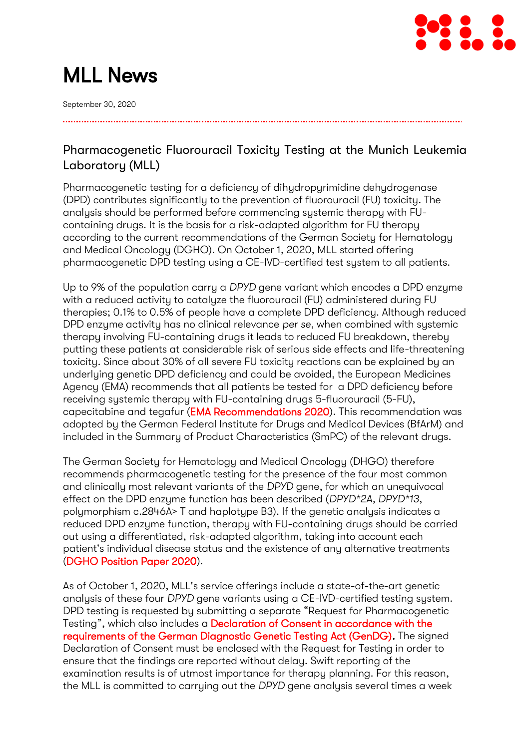

# MLL News

September 30, 2020

# Pharmacogenetic Fluorouracil Toxicity Testing at the Munich Leukemia Laboratory (MLL)

Pharmacogenetic testing for a deficiency of dihydropyrimidine dehydrogenase (DPD) contributes significantly to the prevention of fluorouracil (FU) toxicity. The analysis should be performed before commencing systemic therapy with FUcontaining drugs. It is the basis for a risk-adapted algorithm for FU therapy according to the current recommendations of the German Society for Hematology and Medical Oncology (DGHO). On October 1, 2020, MLL started offering pharmacogenetic DPD testing using a CE-IVD-certified test system to all patients.

Up to 9% of the population carry a *DPYD* gene variant which encodes a DPD enzyme with a reduced activity to catalyze the fluorouracil (FU) administered during FU therapies; 0.1% to 0.5% of people have a complete DPD deficiency. Although reduced DPD enzyme activity has no clinical relevance *per se*, when combined with systemic therapy involving FU-containing drugs it leads to reduced FU breakdown, thereby putting these patients at considerable risk of serious side effects and life-threatening toxicity. Since about 30% of all severe FU toxicity reactions can be explained by an underlying genetic DPD deficiency and could be avoided, the European Medicines Agency (EMA) recommends that all patients be tested for a DPD deficiency before receiving systemic therapy with FU-containing drugs 5-fluorouracil (5-FU), capecitabine and tegafur [\(EMA Recommendations 2020\)](https://www.ema.europa.eu/en/documents/referral/fluorouracil-fluorouracil-related-substances-article-31-referral-ema-recommendations-dpd-testing_en.pdf). This recommendation was adopted by the German Federal Institute for Drugs and Medical Devices (BfArM) and included in the Summary of Product Characteristics (SmPC) of the relevant drugs.

The German Society for Hematology and Medical Oncology (DHGO) therefore recommends pharmacogenetic testing for the presence of the four most common and clinically most relevant variants of the *DPYD* gene, for which an unequivocal effect on the DPD enzyme function has been described (*DPYD\*2A, DPYD\*13*, polymorphism c.2846A> T and haplotype B3). If the genetic analysis indicates a reduced DPD enzyme function, therapy with FU-containing drugs should be carried out using a differentiated, risk-adapted algorithm, taking into account each patient's individual disease status and the existence of any alternative treatments [\(DGHO Position Paper 2020\)](https://www.dgho.de/publikationen/stellungnahmen/gute-aerztliche-praxis/dpd-testung/dpd-positionspapier-2020-konsens_logos_final.pdf/view).

As of October 1, 2020, MLL's service offerings include a state-of-the-art genetic analysis of these four *DPYD* gene variants using a CE-IVD-certified testing system. DPD testing is requested by submitting a separate "Request for Pharmacogenetic Testing", which also includes a [Declaration of Consent in accordance with the](https://www.mll.com/user_upload/mhp/downloads/Untersuchungsauftrag_Pharmakogenetik_inkl._Einv._GenDG.pdf)  [requirements of the German Diagnostic Genetic Testing Act \(GenDG\).](https://www.mll.com/user_upload/mhp/downloads/Untersuchungsauftrag_Pharmakogenetik_inkl._Einv._GenDG.pdf) The signed Declaration of Consent must be enclosed with the Request for Testing in order to ensure that the findings are reported without delay. Swift reporting of the examination results is of utmost importance for therapy planning. For this reason, the MLL is committed to carrying out the *DPYD* gene analysis several times a week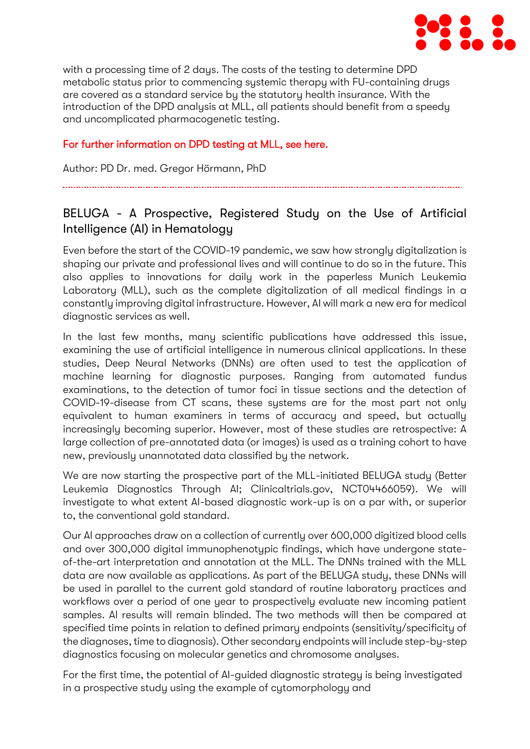

with a processing time of 2 days. The costs of the testing to determine DPD metabolic status prior to commencing systemic therapy with FU-containing drugs are covered as a standard service by the statutory health insurance. With the introduction of the DPD analysis at MLL, all patients should benefit from a speedy and uncomplicated pharmacogenetic testing.

### [For further information on DPD testing at MLL, see here.](https://www.mll.com/erkrankungendiagnostik/pharmakogenetik/dpd-testung-und-fluorouracil-toxizitaet.html)

Author: PD Dr. med. Gregor Hörmann, PhD

# BELUGA - A Prospective, Registered Study on the Use of Artificial Intelligence (AI) in Hematology

Even before the start of the COVID-19 pandemic, we saw how strongly digitalization is shaping our private and professional lives and will continue to do so in the future. This also applies to innovations for daily work in the paperless Munich Leukemia Laboratory (MLL), such as the complete digitalization of all medical findings in a constantly improving digital infrastructure. However, AI will mark a new era for medical diagnostic services as well.

In the last few months, many scientific publications have addressed this issue, examining the use of artificial intelligence in numerous clinical applications. In these studies, Deep Neural Networks (DNNs) are often used to test the application of machine learning for diagnostic purposes. Ranging from automated fundus examinations, to the detection of tumor foci in tissue sections and the detection of COVID-19-disease from CT scans, these systems are for the most part not only equivalent to human examiners in terms of accuracy and speed, but actually increasingly becoming superior. However, most of these studies are retrospective: A large collection of pre-annotated data (or images) is used as a training cohort to have new, previously unannotated data classified by the network.

We are now starting the prospective part of the MLL-initiated BELUGA study (Better Leukemia Diagnostics Through AI; Clinicaltrials.gov, NCT04466059). We will investigate to what extent AI-based diagnostic work-up is on a par with, or superior to, the conventional gold standard.

Our AI approaches draw on a collection of currently over 600,000 digitized blood cells and over 300,000 digital immunophenotypic findings, which have undergone stateof-the-art interpretation and annotation at the MLL. The DNNs trained with the MLL data are now available as applications. As part of the BELUGA study, these DNNs will be used in parallel to the current gold standard of routine laboratory practices and workflows over a period of one year to prospectively evaluate new incoming patient samples. AI results will remain blinded. The two methods will then be compared at specified time points in relation to defined primary endpoints (sensitivity/specificity of the diagnoses, time to diagnosis). Other secondary endpoints will include step-by-step diagnostics focusing on molecular genetics and chromosome analyses.

For the first time, the potential of AI-guided diagnostic strategy is being investigated in a prospective study using the example of cytomorphology and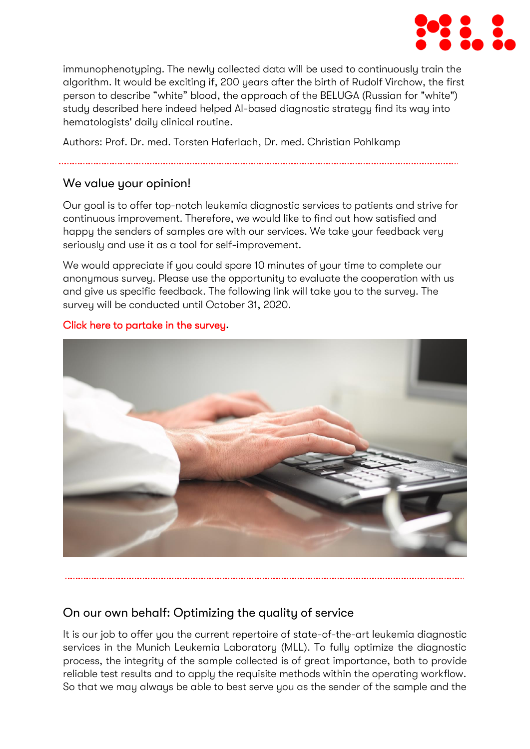

immunophenotyping. The newly collected data will be used to continuously train the algorithm. It would be exciting if, 200 years after the birth of Rudolf Virchow, the first person to describe "white" blood, the approach of the BELUGA (Russian for "white") study described here indeed helped AI-based diagnostic strategy find its way into hematologists' daily clinical routine.

Authors: Prof. Dr. med. Torsten Haferlach, Dr. med. Christian Pohlkamp

## We value your opinion!

Our goal is to offer top-notch leukemia diagnostic services to patients and strive for continuous improvement. Therefore, we would like to find out how satisfied and happy the senders of samples are with our services. We take your feedback very seriously and use it as a tool for self-improvement.

We would appreciate if you could spare 10 minutes of your time to complete our anonymous survey. Please use the opportunity to evaluate the cooperation with us and give us specific feedback. The following link will take you to the survey. The survey will be conducted until October 31, 2020.



#### [Click here to partake in the survey](https://www.ntgt.de/a/s.aspx?s=422331X86802158X89965)**.**

# On our own behalf: Optimizing the quality of service

It is our job to offer you the current repertoire of state-of-the-art leukemia diagnostic services in the Munich Leukemia Laboratory (MLL). To fully optimize the diagnostic process, the integrity of the sample collected is of great importance, both to provide reliable test results and to apply the requisite methods within the operating workflow. So that we may always be able to best serve you as the sender of the sample and the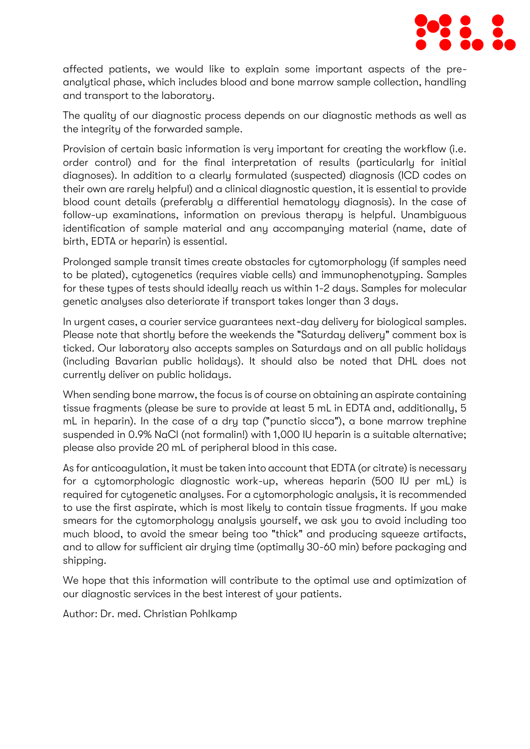

affected patients, we would like to explain some important aspects of the preanalytical phase, which includes blood and bone marrow sample collection, handling and transport to the laboratory.

The quality of our diagnostic process depends on our diagnostic methods as well as the integrity of the forwarded sample.

Provision of certain basic information is very important for creating the workflow (i.e. order control) and for the final interpretation of results (particularly for initial diagnoses). In addition to a clearly formulated (suspected) diagnosis (ICD codes on their own are rarely helpful) and a clinical diagnostic question, it is essential to provide blood count details (preferably a differential hematology diagnosis). In the case of follow-up examinations, information on previous therapy is helpful. Unambiguous identification of sample material and any accompanying material (name, date of birth, EDTA or heparin) is essential.

Prolonged sample transit times create obstacles for cytomorphology (if samples need to be plated), cytogenetics (requires viable cells) and immunophenotyping. Samples for these types of tests should ideally reach us within 1-2 days. Samples for molecular genetic analyses also deteriorate if transport takes longer than 3 days.

In urgent cases, a courier service guarantees next-day delivery for biological samples. Please note that shortly before the weekends the "Saturday delivery" comment box is ticked. Our laboratory also accepts samples on Saturdays and on all public holidays (including Bavarian public holidays). It should also be noted that DHL does not currently deliver on public holidays.

When sending bone marrow, the focus is of course on obtaining an aspirate containing tissue fragments (please be sure to provide at least 5 mL in EDTA and, additionally, 5 mL in heparin). In the case of a dry tap ("punctio sicca"), a bone marrow trephine suspended in 0.9% NaCl (not formalin!) with 1,000 IU heparin is a suitable alternative; please also provide 20 mL of peripheral blood in this case.

As for anticoagulation, it must be taken into account that EDTA (or citrate) is necessary for a cytomorphologic diagnostic work-up, whereas heparin (500 IU per mL) is required for cytogenetic analyses. For a cytomorphologic analysis, it is recommended to use the first aspirate, which is most likely to contain tissue fragments. If you make smears for the cytomorphology analysis yourself, we ask you to avoid including too much blood, to avoid the smear being too "thick" and producing squeeze artifacts, and to allow for sufficient air drying time (optimally 30-60 min) before packaging and shipping.

We hope that this information will contribute to the optimal use and optimization of our diagnostic services in the best interest of your patients.

Author: Dr. med. Christian Pohlkamp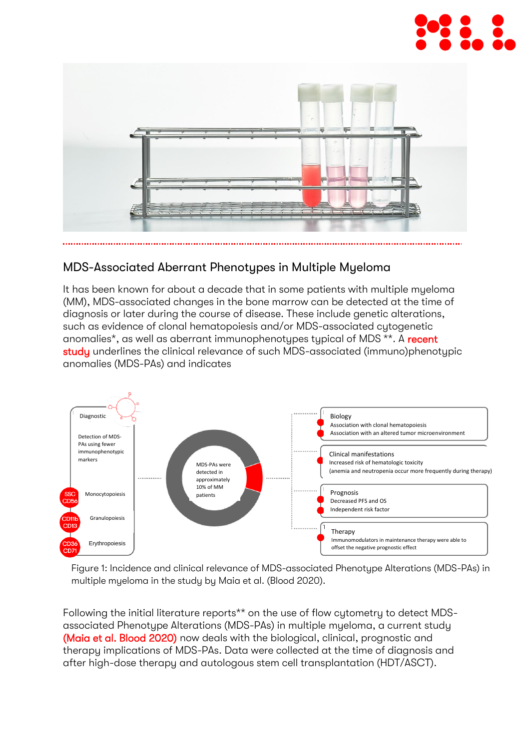



## MDS-Associated Aberrant Phenotypes in Multiple Myeloma

It has been known for about a decade that in some patients with multiple myeloma (MM), MDS-associated changes in the bone marrow can be detected at the time of diagnosis or later during the course of disease. These include genetic alterations, such as evidence of clonal hematopoiesis and/or MDS-associated cytogenetic anomalies<sup>\*</sup>, as well as aberrant immunophenotypes typical of MDS<sup>\*\*</sup>. A recent [study](https://ashpublications.org/blood/article-abstract/135/26/2375/454409/Biological-and-clinical-significance-of-dysplastic?redirectedFrom=fulltext) underlines the clinical relevance of such MDS-associated (immuno)phenotypic anomalies (MDS-PAs) and indicates



Figure 1: Incidence and clinical relevance of MDS-associated Phenotype Alterations (MDS-PAs) in multiple myeloma in the study by Maia et al. (Blood 2020).

Following the initial literature reports\*\* on the use of flow cytometry to detect MDSassociated Phenotype Alterations (MDS-PAs) in multiple myeloma, a current study [\(Maia et al. Blood 2020\)](https://ashpublications.org/blood/article-abstract/135/26/2375/454409/Biological-and-clinical-significance-of-dysplastic?redirectedFrom=fulltext) now deals with the biological, clinical, prognostic and therapy implications of MDS-PAs. Data were collected at the time of diagnosis and after high-dose therapy and autologous stem cell transplantation (HDT/ASCT).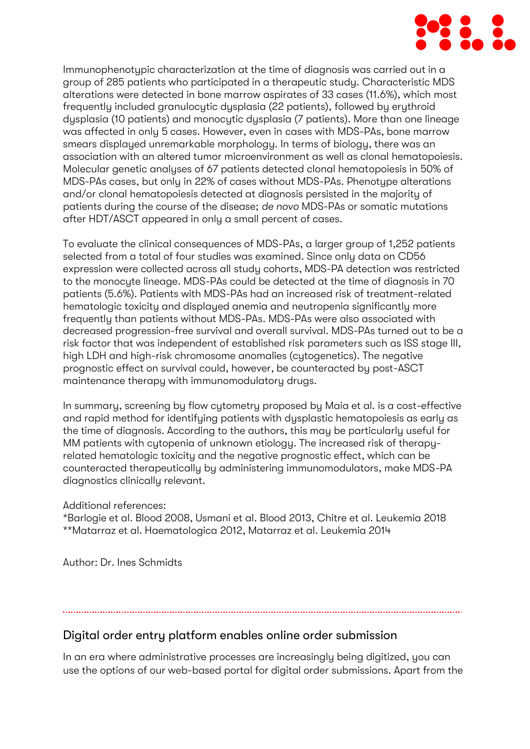

Immunophenotypic characterization at the time of diagnosis was carried out in a group of 285 patients who participated in a therapeutic study. Characteristic MDS alterations were detected in bone marrow aspirates of 33 cases (11.6%), which most frequently included granulocytic dysplasia (22 patients), followed by erythroid dysplasia (10 patients) and monocytic dysplasia (7 patients). More than one lineage was affected in only 5 cases. However, even in cases with MDS-PAs, bone marrow smears displayed unremarkable morphology. In terms of biology, there was an association with an altered tumor microenvironment as well as clonal hematopoiesis. Molecular genetic analyses of 67 patients detected clonal hematopoiesis in 50% of MDS-PAs cases, but only in 22% of cases without MDS-PAs. Phenotupe alterations and/or clonal hematopoiesis detected at diagnosis persisted in the majority of patients during the course of the disease; *de novo* MDS-PAs or somatic mutations after HDT/ASCT appeared in only a small percent of cases.

To evaluate the clinical consequences of MDS-PAs, a larger group of 1,252 patients selected from a total of four studies was examined. Since only data on CD56 expression were collected across all study cohorts, MDS-PA detection was restricted to the monocyte lineage. MDS-PAs could be detected at the time of diagnosis in 70 patients (5.6%). Patients with MDS-PAs had an increased risk of treatment-related hematologic toxicity and displayed anemia and neutropenia significantly more frequently than patients without MDS-PAs. MDS-PAs were also associated with decreased progression-free survival and overall survival. MDS-PAs turned out to be a risk factor that was independent of established risk parameters such as ISS stage III, high LDH and high-risk chromosome anomalies (cytogenetics). The negative prognostic effect on survival could, however, be counteracted by post-ASCT maintenance therapy with immunomodulatory drugs.

In summary, screening by flow cytometry proposed by Maia et al. is a cost-effective and rapid method for identifying patients with dysplastic hematopoiesis as early as the time of diagnosis. According to the authors, this may be particularly useful for MM patients with cytopenia of unknown etiology. The increased risk of therapyrelated hematologic toxicity and the negative prognostic effect, which can be counteracted therapeutically by administering immunomodulators, make MDS-PA diagnostics clinically relevant.

#### Additional references:

\*Barlogie et al. Blood 2008, Usmani et al. Blood 2013, Chitre et al. Leukemia 2018 \*\*Matarraz et al. Haematologica 2012, Matarraz et al. Leukemia 2014

Author: Dr. Ines Schmidts

#### Digital order entry platform enables online order submission

In an era where administrative processes are increasingly being digitized, you can use the options of our web-based portal for digital order submissions. Apart from the